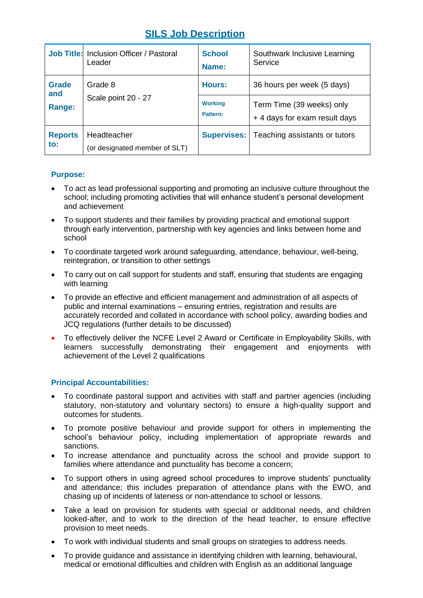# **SILS Job Description**

|                                   | <b>Job Title: Inclusion Officer / Pastoral</b><br>Leader | <b>School</b><br>Name:     | Southwark Inclusive Learning<br>Service                   |
|-----------------------------------|----------------------------------------------------------|----------------------------|-----------------------------------------------------------|
| <b>Grade</b><br>and               | Grade 8<br>Scale point 20 - 27                           | Hours:                     | 36 hours per week (5 days)                                |
| Range:                            |                                                          | <b>Working</b><br>Pattern: | Term Time (39 weeks) only<br>+4 days for exam result days |
| <b>Reports</b><br>$\mathbf{to}$ : | Headteacher<br>(or designated member of SLT)             | Supervises:                | Teaching assistants or tutors                             |

#### **Purpose:**

- To act as lead professional supporting and promoting an inclusive culture throughout the school; including promoting activities that will enhance student's personal development and achievement
- To support students and their families by providing practical and emotional support through early intervention, partnership with key agencies and links between home and school
- To coordinate targeted work around safeguarding, attendance, behaviour, well-being, reintegration, or transition to other settings
- To carry out on call support for students and staff, ensuring that students are engaging with learning
- To provide an effective and efficient management and administration of all aspects of public and internal examinations – ensuring entries, registration and results are accurately recorded and collated in accordance with school policy, awarding bodies and JCQ regulations (further details to be discussed)
- To effectively deliver the NCFE Level 2 Award or Certificate in Employability Skills, with learners successfully demonstrating their engagement and enjoyments with achievement of the Level 2 qualifications

## **Principal Accountabilities:**

- To coordinate pastoral support and activities with staff and partner agencies (including statutory, non-statutory and voluntary sectors) to ensure a high-quality support and outcomes for students.
- To promote positive behaviour and provide support for others in implementing the school's behaviour policy, including implementation of appropriate rewards and sanctions.
- To increase attendance and punctuality across the school and provide support to families where attendance and punctuality has become a concern;
- To support others in using agreed school procedures to improve students' punctuality and attendance; this includes preparation of attendance plans with the EWO, and chasing up of incidents of lateness or non-attendance to school or lessons.
- Take a lead on provision for students with special or additional needs, and children looked-after, and to work to the direction of the head teacher, to ensure effective provision to meet needs.
- To work with individual students and small groups on strategies to address needs.
- To provide guidance and assistance in identifying children with learning, behavioural, medical or emotional difficulties and children with English as an additional language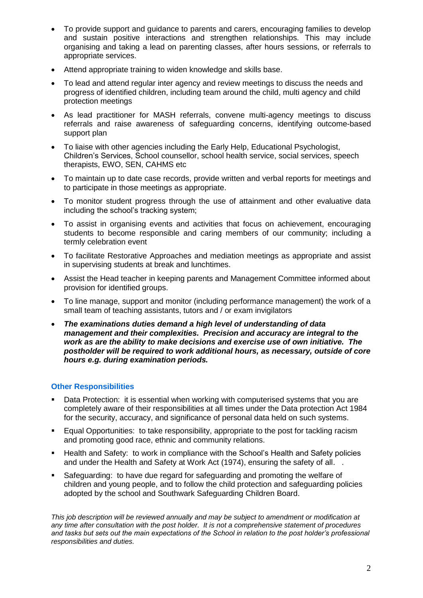- To provide support and guidance to parents and carers, encouraging families to develop and sustain positive interactions and strengthen relationships. This may include organising and taking a lead on parenting classes, after hours sessions, or referrals to appropriate services.
- Attend appropriate training to widen knowledge and skills base.
- To lead and attend regular inter agency and review meetings to discuss the needs and progress of identified children, including team around the child, multi agency and child protection meetings
- As lead practitioner for MASH referrals, convene multi-agency meetings to discuss referrals and raise awareness of safeguarding concerns, identifying outcome-based support plan
- To liaise with other agencies including the Early Help, Educational Psychologist, Children's Services, School counsellor, school health service, social services, speech therapists, EWO, SEN, CAHMS etc
- To maintain up to date case records, provide written and verbal reports for meetings and to participate in those meetings as appropriate.
- To monitor student progress through the use of attainment and other evaluative data including the school's tracking system;
- To assist in organising events and activities that focus on achievement, encouraging students to become responsible and caring members of our community; including a termly celebration event
- To facilitate Restorative Approaches and mediation meetings as appropriate and assist in supervising students at break and lunchtimes.
- Assist the Head teacher in keeping parents and Management Committee informed about provision for identified groups.
- To line manage, support and monitor (including performance management) the work of a small team of teaching assistants, tutors and / or exam invigilators
- *The examinations duties demand a high level of understanding of data management and their complexities. Precision and accuracy are integral to the work as are the ability to make decisions and exercise use of own initiative. The postholder will be required to work additional hours, as necessary, outside of core hours e.g. during examination periods.*

## **Other Responsibilities**

- Data Protection: it is essential when working with computerised systems that you are completely aware of their responsibilities at all times under the Data protection Act 1984 for the security, accuracy, and significance of personal data held on such systems.
- Equal Opportunities: to take responsibility, appropriate to the post for tackling racism and promoting good race, ethnic and community relations.
- Health and Safety: to work in compliance with the School's Health and Safety policies and under the Health and Safety at Work Act (1974), ensuring the safety of all. .
- Safeguarding: to have due regard for safeguarding and promoting the welfare of children and young people, and to follow the child protection and safeguarding policies adopted by the school and Southwark Safeguarding Children Board.

*This job description will be reviewed annually and may be subject to amendment or modification at any time after consultation with the post holder. It is not a comprehensive statement of procedures and tasks but sets out the main expectations of the School in relation to the post holder's professional responsibilities and duties.*